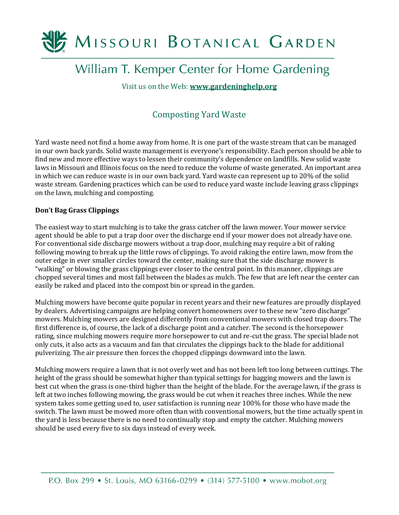

# William T. Kemper Center for Home Gardening

Visit us on the Web: **[www.gardeninghelp.org](http://www.gardeninghelp.org/)**

## Composting Yard Waste

Yard waste need not find a home away from home. It is one part of the waste stream that can be managed in our own back yards. Solid waste management is everyone's responsibility. Each person should be able to find new and more effective ways to lessen their community's dependence on landfills. New solid waste laws in Missouri and Illinois focus on the need to reduce the volume of waste generated. An important area in which we can reduce waste is in our own back yard. Yard waste can represent up to 20% of the solid waste stream. Gardening practices which can be used to reduce yard waste include leaving grass clippings on the lawn, mulching and composting.

## **Don't Bag Grass Clippings**

The easiest way to start mulching is to take the grass catcher off the lawn mower. Your mower service agent should be able to put a trap door over the discharge end if your mower does not already have one. For conventional side discharge mowers without a trap door, mulching may require a bit of raking following mowing to break up the little rows of clippings. To avoid raking the entire lawn, mow from the outer edge in ever smaller circles toward the center, making sure that the side discharge mower is "walking" or blowing the grass clippings ever closer to the central point. In this manner, clippings are chopped several times and most fall between the blades as mulch. The few that are left near the center can easily be raked and placed into the compost bin or spread in the garden.

Mulching mowers have become quite popular in recent years and their new features are proudly displayed by dealers. Advertising campaigns are helping convert homeowners over to these new "zero discharge" mowers. Mulching mowers are designed differently from conventional mowers with closed trap doors. The first difference is, of course, the lack of a discharge point and a catcher. The second is the horsepower rating, since mulching mowers require more horsepower to cut and re-cut the grass. The special blade not only cuts, it also acts as a vacuum and fan that circulates the clippings back to the blade for additional pulverizing. The air pressure then forces the chopped clippings downward into the lawn.

Mulching mowers require a lawn that is not overly wet and has not been left too long between cuttings. The height of the grass should be somewhat higher than typical settings for bagging mowers and the lawn is best cut when the grass is one-third higher than the height of the blade. For the average lawn, if the grass is left at two inches following mowing, the grass would be cut when it reaches three inches. While the new system takes some getting used to, user satisfaction is running near 100% for those who have made the switch. The lawn must be mowed more often than with conventional mowers, but the time actually spent in the yard is less because there is no need to continually stop and empty the catcher. Mulching mowers should be used every five to six days instead of every week.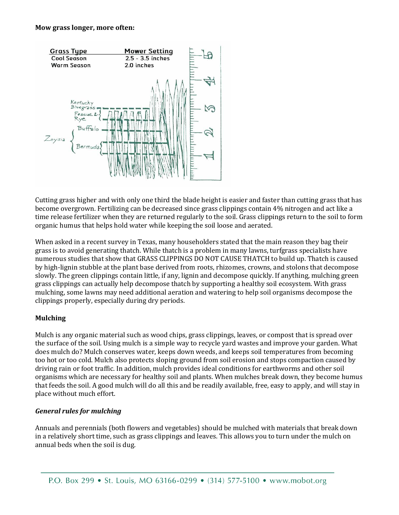#### **Mow grass longer, more often:**



Cutting grass higher and with only one third the blade height is easier and faster than cutting grass that has become overgrown. Fertilizing can be decreased since grass clippings contain 4% nitrogen and act like a time release fertilizer when they are returned regularly to the soil. Grass clippings return to the soil to form organic humus that helps hold water while keeping the soil loose and aerated.

When asked in a recent survey in Texas, many householders stated that the main reason they bag their grass is to avoid generating thatch. While thatch is a problem in many lawns, turfgrass specialists have numerous studies that show that GRASS CLIPPINGS DO NOT CAUSE THATCH to build up. Thatch is caused by high-lignin stubble at the plant base derived from roots, rhizomes, crowns, and stolons that decompose slowly. The green clippings contain little, if any, lignin and decompose quickly. If anything, mulching green grass clippings can actually help decompose thatch by supporting a healthy soil ecosystem. With grass mulching, some lawns may need additional aeration and watering to help soil organisms decompose the clippings properly, especially during dry periods.

## **Mulching**

Mulch is any organic material such as wood chips, grass clippings, leaves, or compost that is spread over the surface of the soil. Using mulch is a simple way to recycle yard wastes and improve your garden. What does mulch do? Mulch conserves water, keeps down weeds, and keeps soil temperatures from becoming too hot or too cold. Mulch also protects sloping ground from soil erosion and stops compaction caused by driving rain or foot traffic. In addition, mulch provides ideal conditions for earthworms and other soil organisms which are necessary for healthy soil and plants. When mulches break down, they become humus that feeds the soil. A good mulch will do all this and be readily available, free, easy to apply, and will stay in place without much effort.

## *General rules for mulching*

Annuals and perennials (both flowers and vegetables) should be mulched with materials that break down in a relatively short time, such as grass clippings and leaves. This allows you to turn under the mulch on annual beds when the soil is dug.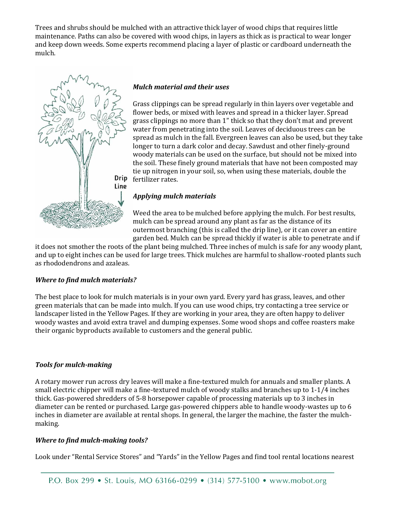Trees and shrubs should be mulched with an attractive thick layer of wood chips that requires little maintenance. Paths can also be covered with wood chips, in layers as thick as is practical to wear longer and keep down weeds. Some experts recommend placing a layer of plastic or cardboard underneath the mulch.



## *Mulch material and their uses*

Grass clippings can be spread regularly in thin layers over vegetable and flower beds, or mixed with leaves and spread in a thicker layer. Spread grass clippings no more than 1" thick so that they don't mat and prevent water from penetrating into the soil. Leaves of deciduous trees can be spread as mulch in the fall. Evergreen leaves can also be used, but they take longer to turn a dark color and decay. Sawdust and other finely-ground woody materials can be used on the surface, but should not be mixed into the soil. These finely ground materials that have not been composted may tie up nitrogen in your soil, so, when using these materials, double the fertilizer rates.

## *Applying mulch materials*

Weed the area to be mulched before applying the mulch. For best results, mulch can be spread around any plant as far as the distance of its outermost branching (this is called the drip line), or it can cover an entire garden bed. Mulch can be spread thickly if water is able to penetrate and if

it does not smother the roots of the plant being mulched. Three inches of mulch is safe for any woody plant, and up to eight inches can be used for large trees. Thick mulches are harmful to shallow-rooted plants such as rhododendrons and azaleas.

## *Where to find mulch materials?*

The best place to look for mulch materials is in your own yard. Every yard has grass, leaves, and other green materials that can be made into mulch. If you can use wood chips, try contacting a tree service or landscaper listed in the Yellow Pages. If they are working in your area, they are often happy to deliver woody wastes and avoid extra travel and dumping expenses. Some wood shops and coffee roasters make their organic byproducts available to customers and the general public.

## *Tools for mulch-making*

A rotary mower run across dry leaves will make a fine-textured mulch for annuals and smaller plants. A small electric chipper will make a fine-textured mulch of woody stalks and branches up to 1-1/4 inches thick. Gas-powered shredders of 5-8 horsepower capable of processing materials up to 3 inches in diameter can be rented or purchased. Large gas-powered chippers able to handle woody-wastes up to 6 inches in diameter are available at rental shops. In general, the larger the machine, the faster the mulchmaking.

## *Where to find mulch-making tools?*

Look under "Rental Service Stores" and "Yards" in the Yellow Pages and find tool rental locations nearest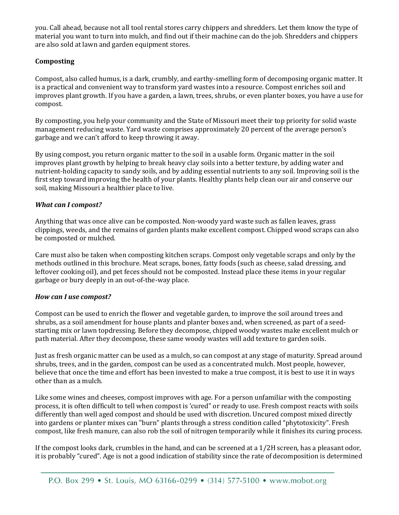you. Call ahead, because not all tool rental stores carry chippers and shredders. Let them know the type of material you want to turn into mulch, and find out if their machine can do the job. Shredders and chippers are also sold at lawn and garden equipment stores.

## **Composting**

Compost, also called humus, is a dark, crumbly, and earthy-smelling form of decomposing organic matter. It is a practical and convenient way to transform yard wastes into a resource. Compost enriches soil and improves plant growth. If you have a garden, a lawn, trees, shrubs, or even planter boxes, you have a use for compost.

By composting, you help your community and the State of Missouri meet their top priority for solid waste management reducing waste. Yard waste comprises approximately 20 percent of the average person's garbage and we can't afford to keep throwing it away.

By using compost, you return organic matter to the soil in a usable form. Organic matter in the soil improves plant growth by helping to break heavy clay soils into a better texture, by adding water and nutrient-holding capacity to sandy soils, and by adding essential nutrients to any soil. Improving soil is the first step toward improving the health of your plants. Healthy plants help clean our air and conserve our soil, making Missouri a healthier place to live.

## *What can I compost?*

Anything that was once alive can be composted. Non-woody yard waste such as fallen leaves, grass clippings, weeds, and the remains of garden plants make excellent compost. Chipped wood scraps can also be composted or mulched.

Care must also be taken when composting kitchen scraps. Compost only vegetable scraps and only by the methods outlined in this brochure. Meat scraps, bones, fatty foods (such as cheese, salad dressing, and leftover cooking oil), and pet feces should not be composted. Instead place these items in your regular garbage or bury deeply in an out-of-the-way place.

## *How can I use compost?*

Compost can be used to enrich the flower and vegetable garden, to improve the soil around trees and shrubs, as a soil amendment for house plants and planter boxes and, when screened, as part of a seedstarting mix or lawn topdressing. Before they decompose, chipped woody wastes make excellent mulch or path material. After they decompose, these same woody wastes will add texture to garden soils.

Just as fresh organic matter can be used as a mulch, so can compost at any stage of maturity. Spread around shrubs, trees, and in the garden, compost can be used as a concentrated mulch. Most people, however, believe that once the time and effort has been invested to make a true compost, it is best to use it in ways other than as a mulch.

Like some wines and cheeses, compost improves with age. For a person unfamiliar with the composting process, it is often difficult to tell when compost is 'cured" or ready to use. Fresh compost reacts with soils differently than well aged compost and should be used with discretion. Uncured compost mixed directly into gardens or planter mixes can "burn" plants through a stress condition called "phytotoxicity". Fresh compost, like fresh manure, can also rob the soil of nitrogen temporarily while it finishes its curing process.

If the compost looks dark, crumbles in the hand, and can be screened at a 1/2H screen, has a pleasant odor, it is probably "cured". Age is not a good indication of stability since the rate of decomposition is determined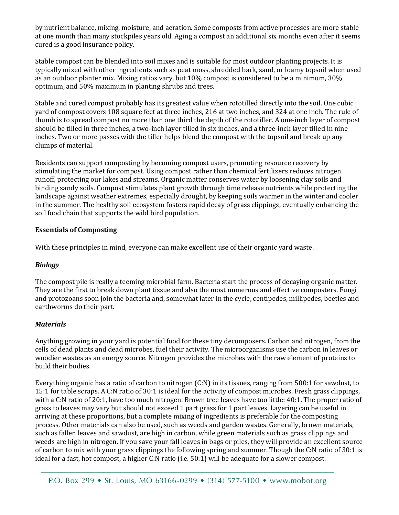by nutrient balance, mixing, moisture, and aeration. Some composts from active processes are more stable at one month than many stockpiles years old. Aging a compost an additional six months even after it seems cured is a good insurance policy.

Stable compost can be blended into soil mixes and is suitable for most outdoor planting projects. It is typically mixed with other ingredients such as peat moss, shredded bark, sand, or loamy topsoil when used as an outdoor planter mix. Mixing ratios vary, but 10% compost is considered to be a minimum, 30% optimum, and 50% maximum in planting shrubs and trees.

Stable and cured compost probably has its greatest value when rototilled directly into the soil. One cubic yard of compost covers 108 square feet at three inches, 216 at two inches, and 324 at one inch. The rule of thumb is to spread compost no more than one third the depth of the rototiller. A one-inch layer of compost should be tilled in three inches, a two-inch layer tilled in six inches, and a three-inch layer tilled in nine inches. Two or more passes with the tiller helps blend the compost with the topsoil and break up any clumps of material.

Residents can support composting by becoming compost users, promoting resource recovery by stimulating the market for compost. Using compost rather than chemical fertilizers reduces nitrogen runoff, protecting our lakes and streams. Organic matter conserves water by loosening clay soils and binding sandy soils. Compost stimulates plant growth through time release nutrients while protecting the landscape against weather extremes, especially drought, by keeping soils warmer in the winter and cooler in the summer. The healthy soil ecosystem fosters rapid decay of grass clippings, eventually enhancing the soil food chain that supports the wild bird population.

## **Essentials of Composting**

With these principles in mind, everyone can make excellent use of their organic yard waste.

## *Biology*

The compost pile is really a teeming microbial farm. Bacteria start the process of decaying organic matter. They are the first to break down plant tissue and also the most numerous and effective composters. Fungi and protozoans soon join the bacteria and, somewhat later in the cycle, centipedes, millipedes, beetles and earthworms do their part.

## *Materials*

Anything growing in your yard is potential food for these tiny decomposers. Carbon and nitrogen, from the cells of dead plants and dead microbes, fuel their activity. The microorganisms use the carbon in leaves or woodier wastes as an energy source. Nitrogen provides the microbes with the raw element of proteins to build their bodies.

Everything organic has a ratio of carbon to nitrogen (C:N) in its tissues, ranging from 500:1 for sawdust, to 15:1 for table scraps. A C:N ratio of 30:1 is ideal for the activity of compost microbes. Fresh grass clippings, with a C:N ratio of 20:1, have too much nitrogen. Brown tree leaves have too little: 40:1. The proper ratio of grass to leaves may vary but should not exceed 1 part grass for 1 part leaves. Layering can be useful in arriving at these proportions, but a complete mixing of ingredients is preferable for the composting process. Other materials can also be used, such as weeds and garden wastes. Generally, brown materials, such as fallen leaves and sawdust, are high in carbon, while green materials such as grass clippings and weeds are high in nitrogen. If you save your fall leaves in bags or piles, they will provide an excellent source of carbon to mix with your grass clippings the following spring and summer. Though the C:N ratio of 30:1 is ideal for a fast, hot compost, a higher C:N ratio (i.e. 50:1) will be adequate for a slower compost.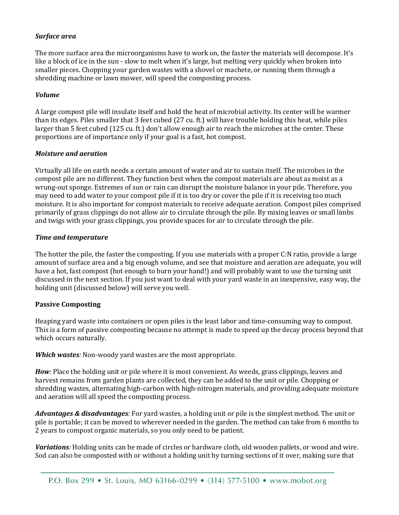## *Surface area*

The more surface area the microorganisms have to work on, the faster the materials will decompose. It's like a block of ice in the sun - slow to melt when it's large, but melting very quickly when broken into smaller pieces. Chopping your garden wastes with a shovel or machete, or running them through a shredding machine or lawn mower, will speed the composting process.

## *Volume*

A large compost pile will insulate itself and hold the heat of microbial activity. Its center will be warmer than its edges. Piles smaller that 3 feet cubed (27 cu. ft.) will have trouble holding this heat, while piles larger than 5 feet cubed (125 cu. ft.) don't allow enough air to reach the microbes at the center. These proportions are of importance only if your goal is a fast, hot compost.

## *Moisture and aeration*

Virtually all life on earth needs a certain amount of water and air to sustain itself. The microbes in the compost pile are no different. They function best when the compost materials are about as moist as a wrung-out sponge. Extremes of sun or rain can disrupt the moisture balance in your pile. Therefore, you may need to add water to your compost pile if it is too dry or cover the pile if it is receiving too much moisture. It is also important for compost materials to receive adequate aeration. Compost piles comprised primarily of grass clippings do not allow air to circulate through the pile. By mixing leaves or small limbs and twigs with your grass clippings, you provide spaces for air to circulate through the pile.

## *Time and temperature*

The hotter the pile, the faster the composting. If you use materials with a proper C:N ratio, provide a large amount of surface area and a big enough volume, and see that moisture and aeration are adequate, you will have a hot, fast compost (hot enough to burn your hand!) and will probably want to use the turning unit discussed in the next section. If you just want to deal with your yard waste in an inexpensive, easy way, the holding unit (discussed below) will serve you well.

## **Passive Composting**

Heaping yard waste into containers or open piles is the least labor and time-consuming way to compost. This is a form of passive composting because no attempt is made to speed up the decay process beyond that which occurs naturally.

*Which wastes:* Non-woody yard wastes are the most appropriate.

*How*: Place the holding unit or pile where it is most convenient. As weeds, grass clippings, leaves and harvest remains from garden plants are collected, they can be added to the unit or pile. Chopping or shredding wastes, alternating high-carbon with high-nitrogen materials, and providing adequate moisture and aeration will all speed the composting process.

*Advantages & disadvantages:* For yard wastes, a holding unit or pile is the simplest method. The unit or pile is portable; it can be moved to wherever needed in the garden. The method can take from 6 months to 2 years to compost organic materials, so you only need to be patient.

*Variations:* Holding units can be made of circles or hardware cloth, old wooden pallets, or wood and wire. Sod can also be composted with or without a holding unit by turning sections of it over, making sure that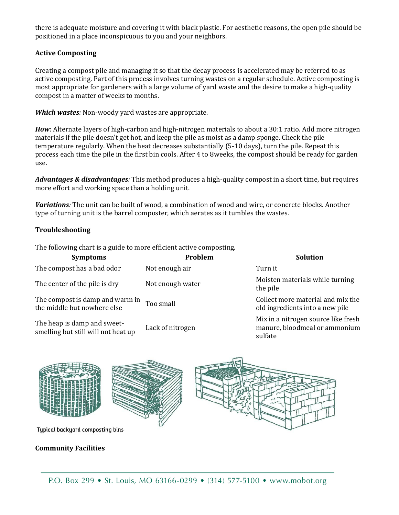there is adequate moisture and covering it with black plastic. For aesthetic reasons, the open pile should be positioned in a place inconspicuous to you and your neighbors.

## **Active Composting**

Creating a compost pile and managing it so that the decay process is accelerated may be referred to as active composting. Part of this process involves turning wastes on a regular schedule. Active composting is most appropriate for gardeners with a large volume of yard waste and the desire to make a high-quality compost in a matter of weeks to months.

*Which wastes:* Non-woody yard wastes are appropriate.

*How*: Alternate layers of high-carbon and high-nitrogen materials to about a 30:1 ratio. Add more nitrogen materials if the pile doesn't get hot, and keep the pile as moist as a damp sponge. Check the pile temperature regularly. When the heat decreases substantially (5-10 days), turn the pile. Repeat this process each time the pile in the first bin cools. After 4 to 8weeks, the compost should be ready for garden use.

*Advantages & disadvantages:* This method produces a high-quality compost in a short time, but requires more effort and working space than a holding unit.

*Variations:* The unit can be built of wood, a combination of wood and wire, or concrete blocks. Another type of turning unit is the barrel composter, which aerates as it tumbles the wastes.

## **Troubleshooting**

The following chart is a guide to more efficient active composting.

| <b>Symptoms</b>                                                    | Problem          | <b>Solution</b>                                                                 |
|--------------------------------------------------------------------|------------------|---------------------------------------------------------------------------------|
| The compost has a bad odor                                         | Not enough air   | Turn it                                                                         |
| The center of the pile is dry                                      | Not enough water | Moisten materials while turning<br>the pile                                     |
| The compost is damp and warm in<br>the middle but nowhere else     | Too small        | Collect more material and mix the<br>old ingredients into a new pile            |
| The heap is damp and sweet-<br>smelling but still will not heat up | Lack of nitrogen | Mix in a nitrogen source like fresh<br>manure, bloodmeal or ammonium<br>sulfate |



## **Community Facilities**